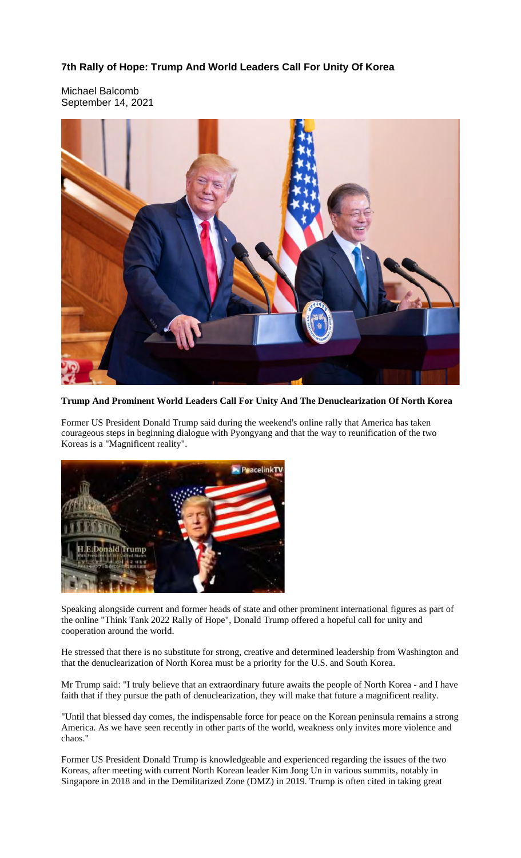## **7th Rally of Hope: Trump And World Leaders Call For Unity Of Korea**

Michael Balcomb September 14, 2021



**Trump And Prominent World Leaders Call For Unity And The Denuclearization Of North Korea**

Former US President Donald Trump said during the weekend's online rally that America has taken courageous steps in beginning dialogue with Pyongyang and that the way to reunification of the two Koreas is a "Magnificent reality".



Speaking alongside current and former heads of state and other prominent international figures as part of the online "Think Tank 2022 Rally of Hope", Donald Trump offered a hopeful call for unity and cooperation around the world.

He stressed that there is no substitute for strong, creative and determined leadership from Washington and that the denuclearization of North Korea must be a priority for the U.S. and South Korea.

Mr Trump said: "I truly believe that an extraordinary future awaits the people of North Korea - and I have faith that if they pursue the path of denuclearization, they will make that future a magnificent reality.

"Until that blessed day comes, the indispensable force for peace on the Korean peninsula remains a strong America. As we have seen recently in other parts of the world, weakness only invites more violence and chaos."

Former US President Donald Trump is knowledgeable and experienced regarding the issues of the two Koreas, after meeting with current North Korean leader Kim Jong Un in various summits, notably in Singapore in 2018 and in the Demilitarized Zone (DMZ) in 2019. Trump is often cited in taking great